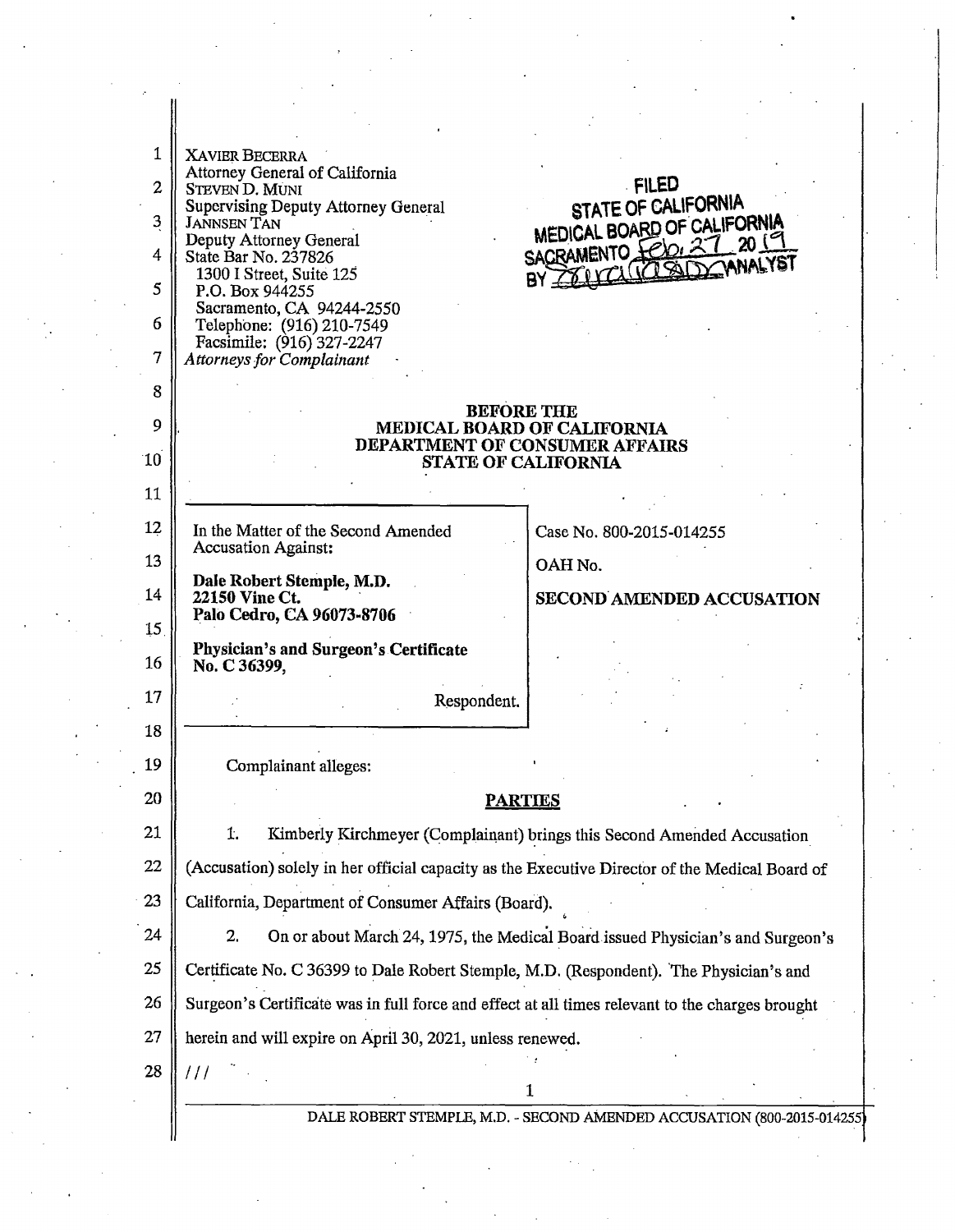| 1              | <b>XAVIER BECERRA</b>                                                                           |                                                                         |
|----------------|-------------------------------------------------------------------------------------------------|-------------------------------------------------------------------------|
|                | Attorney General of California                                                                  |                                                                         |
| $\overline{2}$ | <b>STEVEN D. MUNI</b><br><b>Supervising Deputy Attorney General</b>                             | <b>FILED</b><br>STATE OF CALIFORNIA                                     |
| 3              | <b>JANNSEN TAN</b><br>Deputy Attorney General                                                   | MEDICAL BOARD OF CALIFORNIA                                             |
| 4              | State Bar No. 237826                                                                            | SACRAMENTO Felo: 27 2019<br>CLUZISID CANALYST                           |
| 5              | 1300 I Street, Suite 125<br>P.O. Box 944255                                                     |                                                                         |
| 6              | Sacramento, CA 94244-2550<br>Telephone: (916) 210-7549                                          |                                                                         |
|                | Facsimile: (916) 327-2247                                                                       |                                                                         |
| 7              | <b>Attorneys for Complainant</b>                                                                |                                                                         |
| 8              | <b>BEFORE THE</b>                                                                               |                                                                         |
| 9              | MEDICAL BOARD OF CALIFORNIA<br>DEPARTMENT OF CONSUMER AFFAIRS<br><b>STATE OF CALIFORNIA</b>     |                                                                         |
| 10             |                                                                                                 |                                                                         |
| 11             |                                                                                                 |                                                                         |
| 12             | In the Matter of the Second Amended                                                             | Case No. 800-2015-014255                                                |
| 13             | <b>Accusation Against:</b>                                                                      |                                                                         |
| 14             | Dale Robert Stemple, M.D.                                                                       | OAH No.                                                                 |
|                | 22150 Vine Ct.<br>Palo Cedro, CA 96073-8706                                                     | <b>SECOND AMENDED ACCUSATION</b>                                        |
| 15             | <b>Physician's and Surgeon's Certificate</b>                                                    |                                                                         |
| 16             | No. C 36399,                                                                                    |                                                                         |
| 17             | Respondent.                                                                                     |                                                                         |
| 18             |                                                                                                 |                                                                         |
| 19             | Complainant alleges:                                                                            |                                                                         |
| 20             |                                                                                                 |                                                                         |
| 21             | <u>PARTIES</u>                                                                                  |                                                                         |
|                | 1.<br>Kimberly Kirchmeyer (Complainant) brings this Second Amended Accusation                   |                                                                         |
| 22             | (Accusation) solely in her official capacity as the Executive Director of the Medical Board of  |                                                                         |
| 23             | California, Department of Consumer Affairs (Board).                                             |                                                                         |
| 24             | 2.<br>On or about March 24, 1975, the Medical Board issued Physician's and Surgeon's            |                                                                         |
| 25             | Certificate No. C 36399 to Dale Robert Stemple, M.D. (Respondent). The Physician's and          |                                                                         |
| 26             | Surgeon's Certificate was in full force and effect at all times relevant to the charges brought |                                                                         |
| 27             | herein and will expire on April 30, 2021, unless renewed.                                       |                                                                         |
| 28             | 111                                                                                             |                                                                         |
|                |                                                                                                 | 1                                                                       |
|                |                                                                                                 | DALE ROBERT STEMPLE, M.D. - SECOND AMENDED ACCUSATION (800-2015-014255) |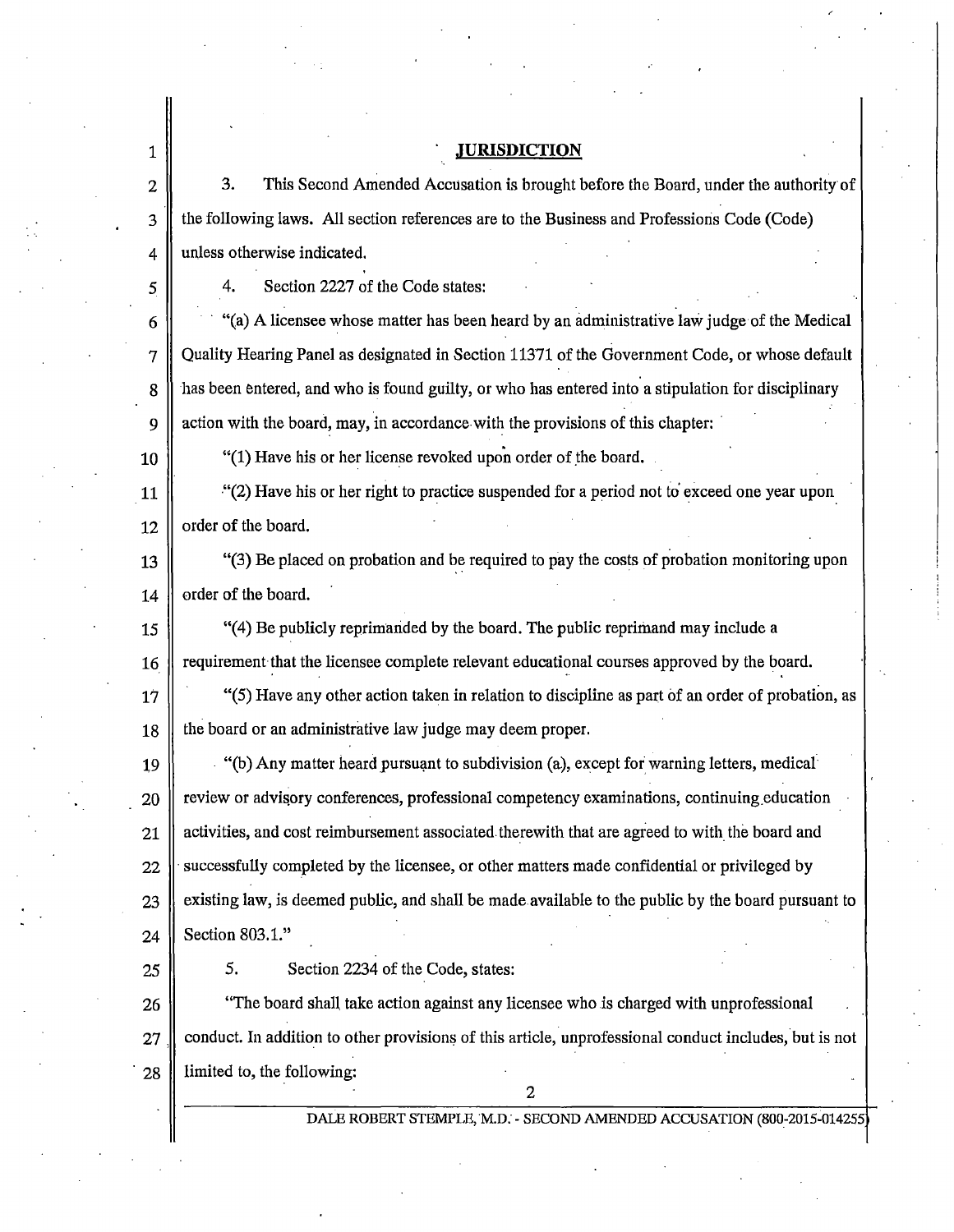## . . **.JURISDICTION**

3. This Second Amended Accusation is brought before the Board, under the authority of 3 the following laws. All section references are to the Business and Professioris Code (Code) 4 || unless otherwise indicated.

5 4. Section 2227 of the Code states:

6  $\parallel$  (a) A licensee whose matter has been heard by an administrative law judge of the Medical 7 Quality Hearing Panel as designated in Section 11371 of the Government Code, or whose default 8 has been entered, and who is found guilty, or who has entered into a stipulation for disciplinary 9  $\parallel$  action with the board, may, in accordance-with the provisions of this chapter:

10  $\parallel$  "(1) Have his or her license revoked upon order of the board.

11  $\parallel$  "(2) Have his or her right to practice suspended for a period not to exceed one year upon  $12 \parallel$  order of the board.

13  $\parallel$  (3) Be placed on probation and be required to pay the costs of probation monitoring upon  $14 \parallel$  order of the board.

15 "(4) Be publicly reprimarided by the board. The public reprimand may include a 16  $\parallel$  requirement that the licensee complete relevant educational courses approved by the board.

 $17$  "(5) Have any other action taken in relation to discipline as part of an order of probation, as 18 | the board or an administrative law judge may deem proper.

19 . "(b) Any matter heard pursuant to subdivision (a), except for warning letters, medical  $20$  review or advisory conferences, professional competency examinations, continuing education 21 activities, and cost reimbursement associated therewith that are agreed to with the board and  $22$  successfully completed by the licensee, or other matters made confidential or privileged by 23 existing law, is deemed public, and shall be made available to the public by the board pursuant to 24 | Section 803.1."

1

2

25 | 5. Section 2234 of the Code, states:

26 **The board shall take action against any licensee who is charged with unprofessional**  $27$  conduct. In addition to other provisions of this article, unprofessional conduct includes, but is not 28 | limited to, the following:

2

DALE ROBERT STEMPLE, M.D. - SECOND AMENDED ACCUSATION (800-2015-014255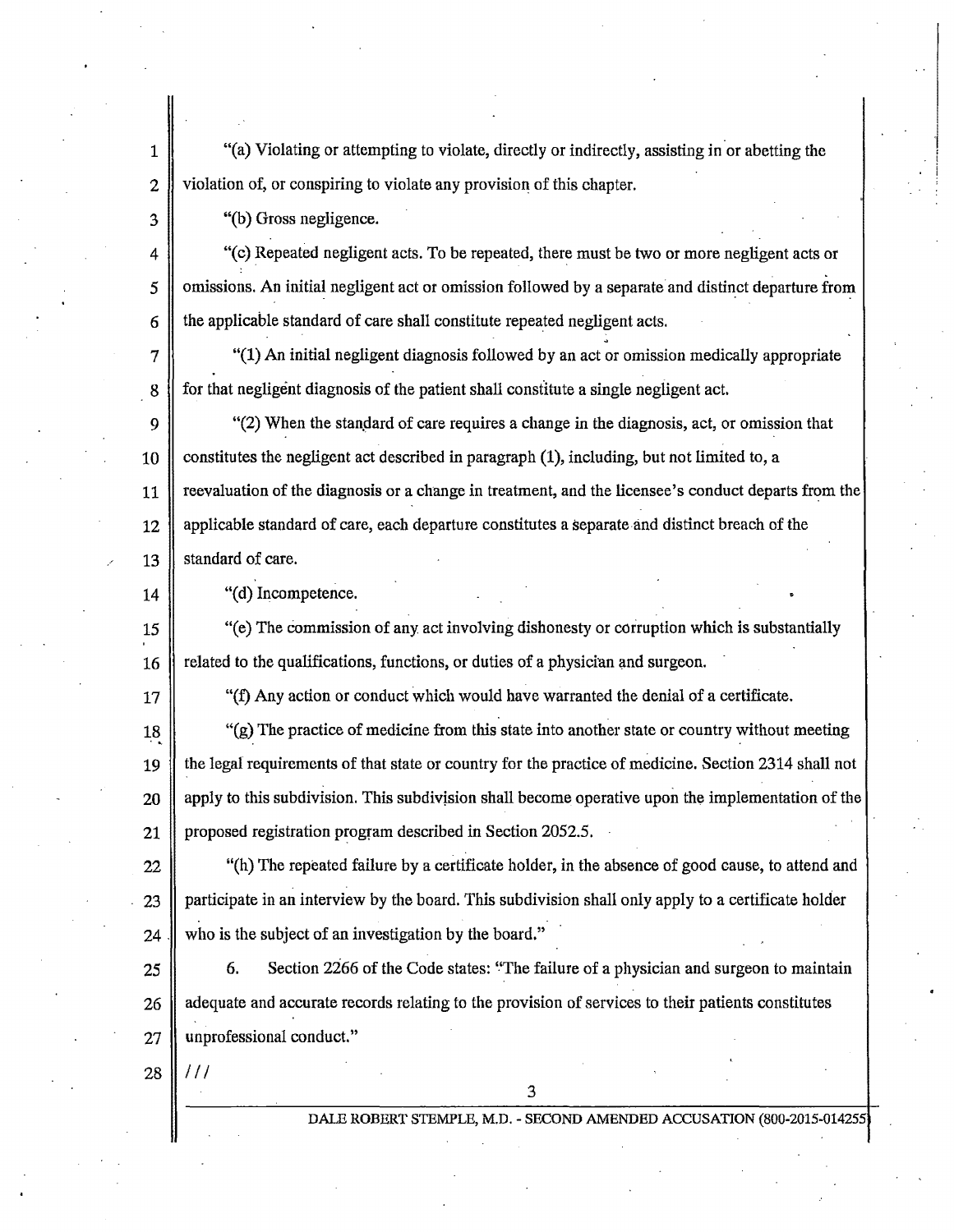1 "(a) Violating or attempting to violate, directly or indirectly, assisting in or abetting the 2 violation of, or conspiring to violate any provision of this chapter.

3 **||** "(b) Gross negligence.

 $\parallel$  "(c) Repeated negligent acts. To be repeated, there must be two or more negligent acts or 5 **omissions.** An initial negligent act or omission followed by a separate and distinct departure from  $6 \parallel$  the applicable standard of care shall constitute repeated negligent acts.

 $7 \parallel$  "(1) An initial negligent diagnosis followed by an act or omission medically appropriate 8 for that negligent diagnosis of the patient shall constitute a single negligent act.

9  $\parallel$  "(2) When the standard of care requires a change in the diagnosis, act, or omission that 10 constitutes the negligent act described in paragraph  $(1)$ , including, but not limited to, a 11 reevaluation of the diagnosis or a change in treatment, and the licensee's conduct departs from the 12 applicable standard of care, each departure constitutes a separate and distinct breach of the 13 Standard of care.

14 "(d) Incompetence.

15 "(e) The commission of any act involving dishonesty or corruption which is substantially 16 **related to the qualifications, functions, or duties of a physician and surgeon.** 

 $17$  "(f) Any action or conduct which would have warranted the denial of a certificate.

18 "(g) The practice of medicine from this state into another state or country without meeting 19 the legal requirements of that state or country for the practice of medicine. Section 2314 shall not 20 apply to this subdivision. This subdivision shall become operative upon the implementation of the 21 | proposed registration program described in Section 2052.5.

 $22$   $\parallel$  "(h) The repeated failure by a certificate holder, in the absence of good cause, to attend and 23 participate in an interview by the board. This subdivision shall only apply to a certificate holder 24  $\parallel$  who is the subject of an investigation by the board."

25  $\parallel$  6. Section 2266 of the Code states: "The failure of a physician and surgeon to maintain 26 adequate and accurate records relating to the provision of services to their patients constitutes 27 || unprofessional conduct."

3

28 *111* 

DALE ROBERT STEMPLE, M.D. - SECOND AMENDED ACCUSATION (800-2015-01425)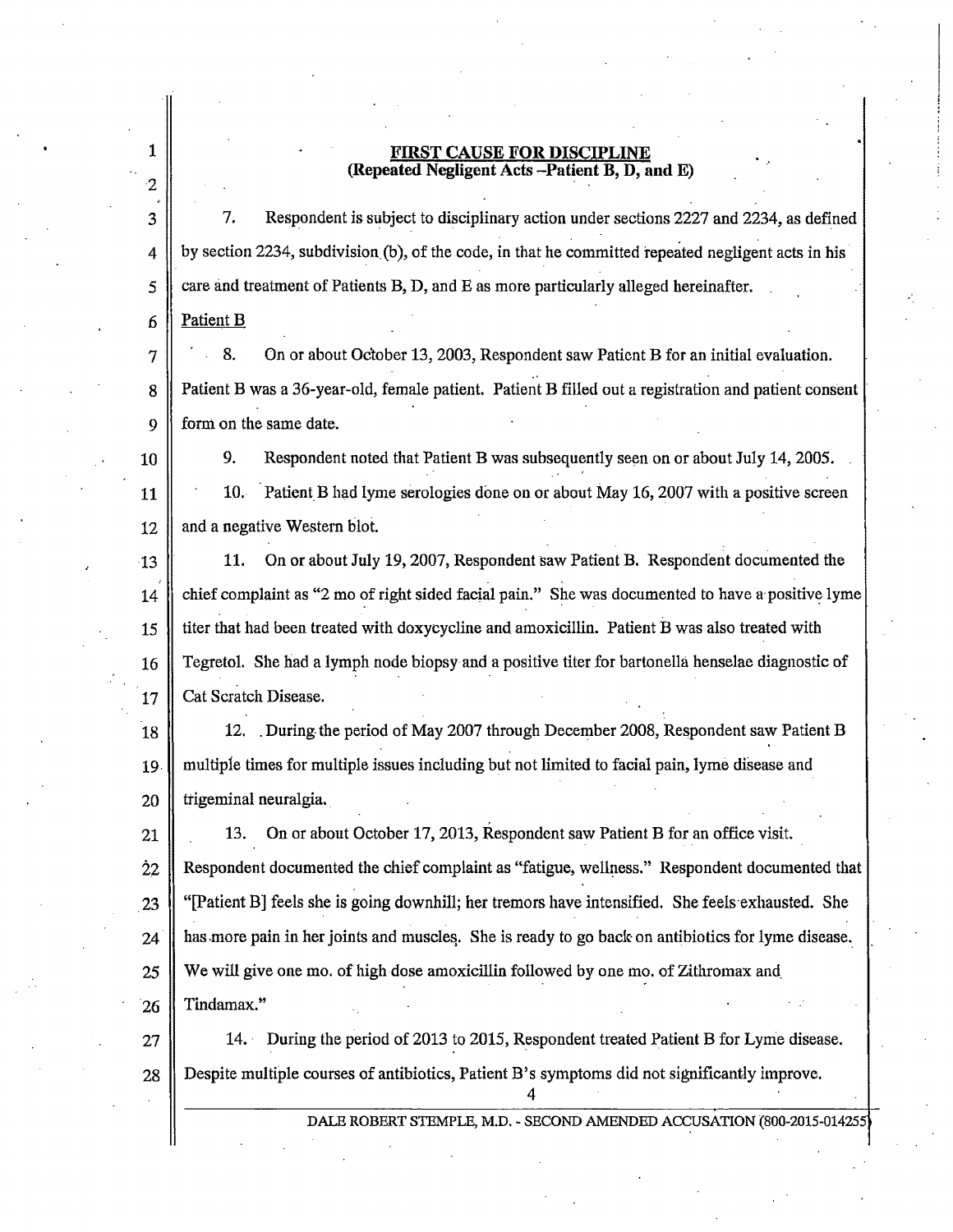## **EAUSE FOR DISCIPLINE** (Repeated Negligent Acts -Patient B, D, and E)

 $3 \parallel 7$ . Respondent is subject to disciplinary action under sections 2227 and 2234, as defined  $4 \parallel$  by section 2234, subdivision (b), of the code, in that he committed repeated negligent acts in his  $5 \parallel$  care and treatment of Patients B, D, and E as more particularly alleged hereinafter.

6 Patient B

1

2

 $7 \parallel 8$ . On or about October 13, 2003, Respondent saw Patient B for an initial evaluation. .. 8 **Patient B was a 36-year-old, female patient.** Patient B filled out a registration and patient consent 9 form on the same date.

10 9. Respondent noted that Patient B was subsequently seen on or about July 14, 2005.

11 10. Patient B had lyme serologies done on or about May 16, 2007 with a positive screen 12  $\parallel$  and a negative Western blot.

13 11. On or about July 19, 2007, Respondent saw Patient B. Respondent documented the 14 chief complaint as "2 mo of right sided facial pain." She was documented to have a positive lyme 15 titer that had been treated with doxycycline and amoxicillin. Patient B was also treated with 16 Tegretol. She had a lymph node biopsy and a positive titer for bartonella henselae diagnostic of 17 | Cat Scratch Disease.

18 12. . During. the period of May 2007 through December 2008, Respondent saw Patient B 19 || multiple times for multiple issues including but not limited to facial pain, lyme disease and  $20$  || trigeminal neuralgia.

21 | 13. On or about October 17, 2013, Respondent saw Patient B for an office visit. Respondent documented the chief complaint as "fatigue, wellness." Respondent documented that  $\parallel$  "[Patient B] feels she is going downhill; her tremors have intensified. She feels exhausted. She has more pain in her joints and muscles. She is ready to go back on antibiotics for lyme disease. 25 We will give one mo. of high dose amoxicillin followed by one mo. of Zithromax and Tindamax."

 $27$  | 14. During the period of 2013 to 2015, Respondent treated Patient B for Lyme disease. 28 Despite multiple courses of antibiotics, Patient B's symptoms did not significantly improve.

4

DALE ROBERT STEMPLE, M.D. - SECOND AMENDED ACCUSATION (800-2015-01425;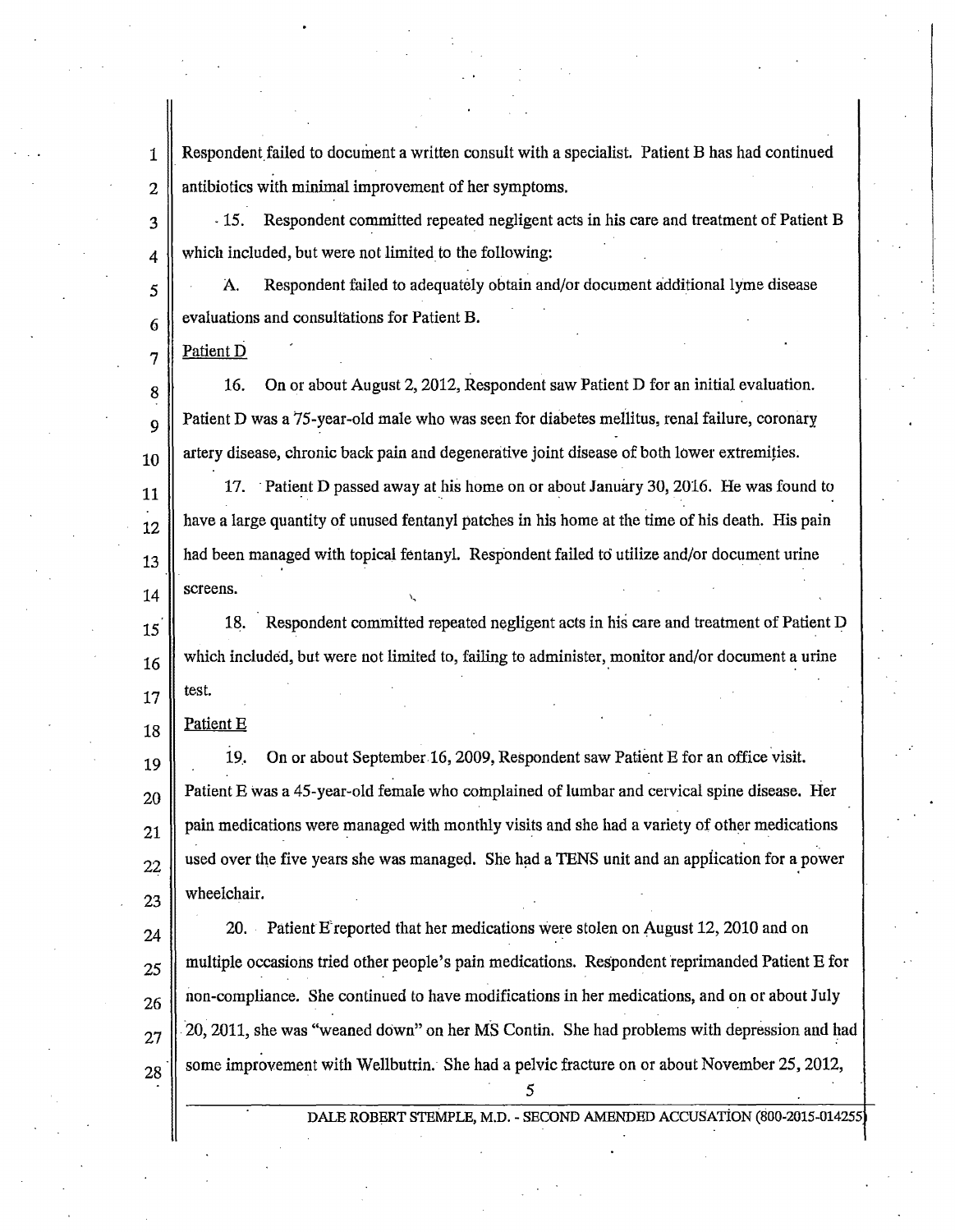1 Respondent failed to document a written consult with a specialist. Patient B has had continued 2.  $\parallel$  antibiotics with minimal improvement of her symptoms.

3 · 15. Respondent committed repeated negligent acts in his care and treatment of Patient B 4 which included, but were not limited to the following:

 $\vert$  A. Respondent failed to adequately obtain and/or document additional lyme disease evaluations and consultations for Patient B.

Patient D

6

7

8

9

10

11

12

13

14

25

26

27

16. On or about August 2, 2012, Respondent saw Patient D for an initial evaluation. Patient D was a 75-year-old male who was seen for diabetes mellitus, renal failure, coronary artery disease, chronic back pain and degenerative joint disease of both lower extremities.

17. Patient D passed away at his home on or about January 30, 2016. He was found to have a large quantity of unused fentanyl patches in his home at the time of his death. His pain had been managed with topical fentanyl. Respondent failed to utilize and/or document urine screens.

15 16 17 18. Respondent committed repeated negligent acts in his care and treatment of Patient D which included, but were not limited to, failing to administer, monitor and/or document a urine test.

18 Patient E

19 20 21 22 23 19.. On or about September 16, 2009, Respondent saw Patient E for an office visit. Patient E was a 45-year-old female who complained of lumbar and cervical spine disease. Her pain medications were managed with monthly visits and she had a variety of other medications used over the five years she was managed. She had a TENS unit and an application for a power wheelchair.

 $24$  20. Patient E'reported that her medications were stolen on August 12, 2010 and on 28 multiple occasions tried other people's pain medications. Respondent reprimanded Patient E for non-compliance. She continued to have modifications in her medications, and on or about July 20, 2011, she was "weaned down" on her MS Contin. She had problems with depression and had some improvement with Wellbutrin. She had a pelvic fracture on or about November 25, 2012,

*5* 

DALE ROBERT STEMPLE, M.D. - SECOND AMENDED ACCUSATION (S00-2015-014255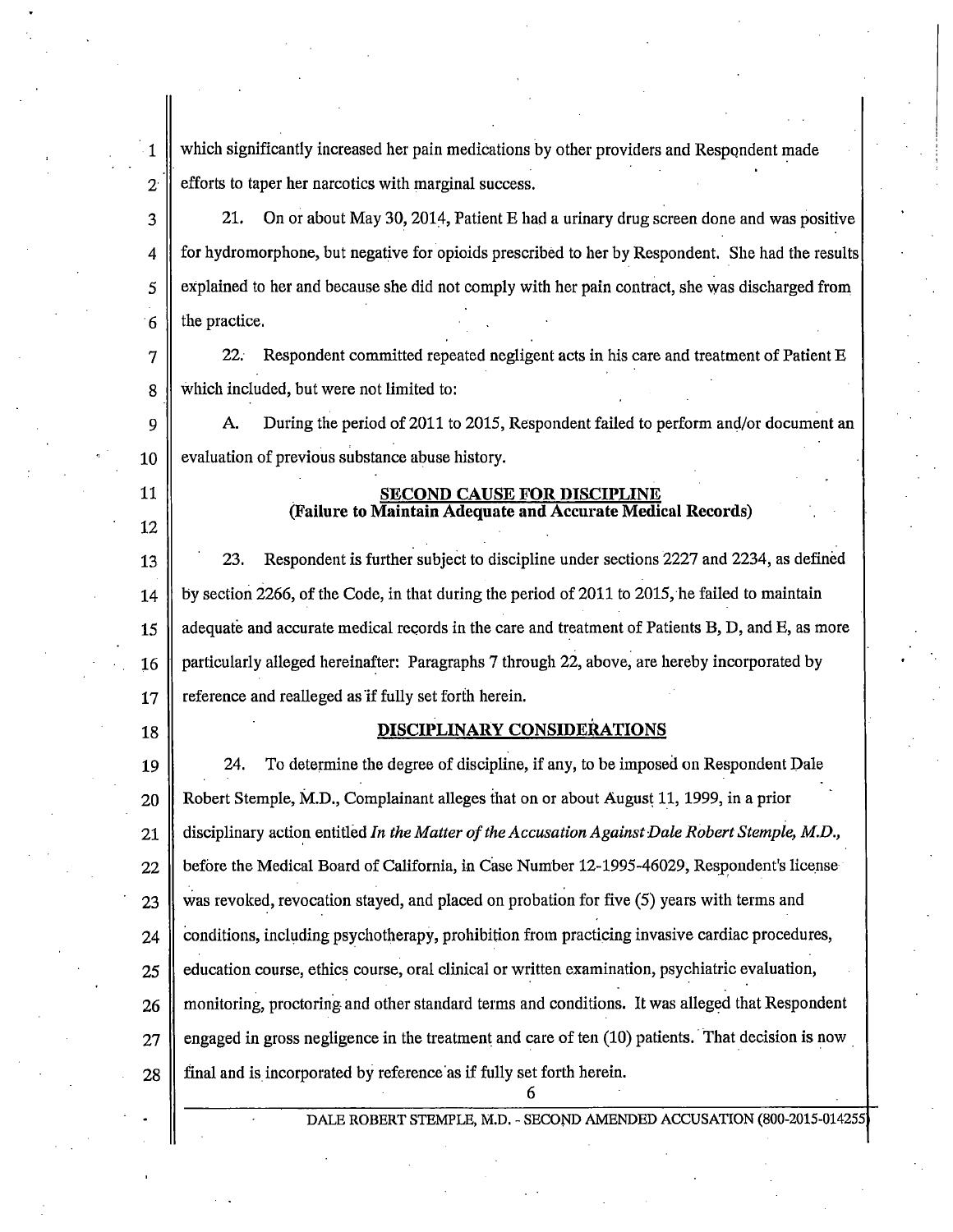$\parallel$  which significantly increased her pain medications by other providers and Respondent made  $2 \parallel$  efforts to taper her narcotics with marginal success.

 $3 \parallel 21.$  On or about May 30, 2014, Patient E had a urinary drug screen done and was positive 4 for hydromorphone, but negative for opioids prescribed to her by Respondent. She had the results  $5 \parallel$  explained to her and because she did not comply with her pain contract, she was discharged from  $6 \parallel$  the practice.

7 22; Respondent committed repeated negligent acts in his care and treatment of Patient E 8 which included, but were not limited to:

9 A. During the period of 2011 to 2015, Respondent failed to perform and/or document an evaluation of previous substance abuse history.

## SECOND CAUSE FOR DISCIPLINE (Failure to Maintain Adequate and Accurate Medical Records)

13 23. Respondent is further subject to discipline under sections 2227 and 2234, as defined 14 by section 2266, of the Code, in that during the period of 2011 to 2015, he failed to maintain 15 adequate and accurate medical records in the care and treatment of Patients B, D, and E, as more 16 || particularly alleged hereinafter: Paragraphs 7 through 22, above, are hereby incorporated by 17 || reference and realleged as if fully set forth herein.

10

11

12

## 18 DISCIPLINARY CONSIDERATIONS

19 24. To determine the degree of discipline, if any, to be imposed on Respondent Dale 20 Robert Stemple, M.D., Complainant alleges that on or about August 11, 1999, in a prior 21 disciplinary action entitled *In the Matter of the Accusation Against Dale Robert Stemple, M.D.*,  $22$  before the Medical Board of California, in Case Number 12-1995-46029, Respondent's license  $23$  was revoked, revocation stayed, and placed on probation for five (5) years with terms and  $24$  conditions, including psychotherapy, prohibition from practicing invasive cardiac procedures,  $25$  education course, ethics course, oral clinical or written examination, psychiatric evaluation, 26 monitoring, proctoring and other standard terms and conditions. It was alleged that Respondent  $27$  engaged in gross negligence in the treatment and care of ten (10) patients. That decision is now  $28$   $\parallel$  final and is incorporated by reference as if fully set forth herein. 6

DALE ROBERT STEMPLE, M.D. - SECOND AMENDED ACCUSATION (800-2015-0142)